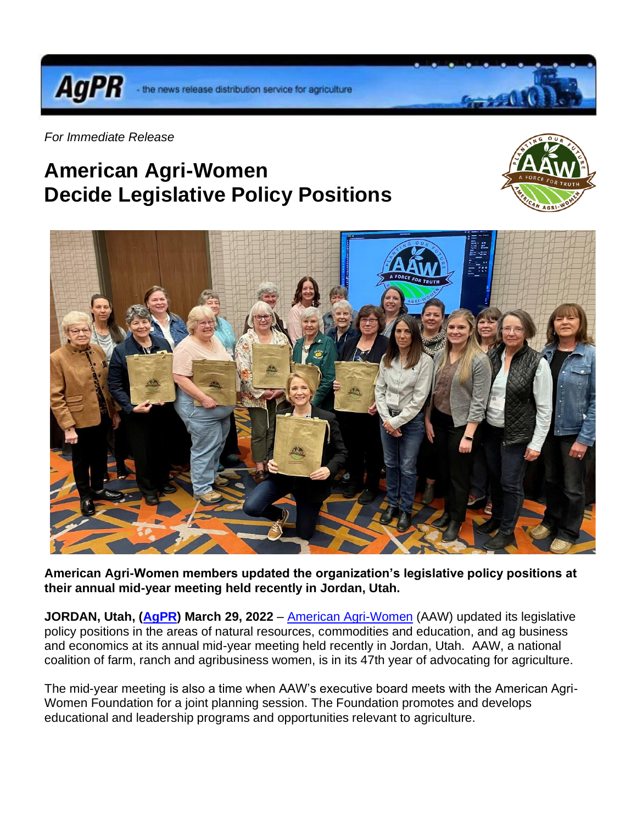the news release distribution service for agriculture



**AgPR** 

## **American Agri-Women Decide Legislative Policy Positions**





**American Agri-Women members updated the organization's legislative policy positions at their annual mid-year meeting held recently in Jordan, Utah.**

**JORDAN, Utah, [\(AgPR\)](http://www.agnewscenter.com/trk/process.cfm?track=5555&tc=2&codex=253782) March 29, 2022** – [American Agri-Women](http://www.agnewscenter.com/trk/process.cfm?track=5573&tc=2&codex=253782) (AAW) updated its legislative policy positions in the areas of natural resources, commodities and education, and ag business and economics at its annual mid-year meeting held recently in Jordan, Utah. AAW, a national coalition of farm, ranch and agribusiness women, is in its 47th year of advocating for agriculture.

The mid-year meeting is also a time when AAW's executive board meets with the American Agri-Women Foundation for a joint planning session. The Foundation promotes and develops educational and leadership programs and opportunities relevant to agriculture.